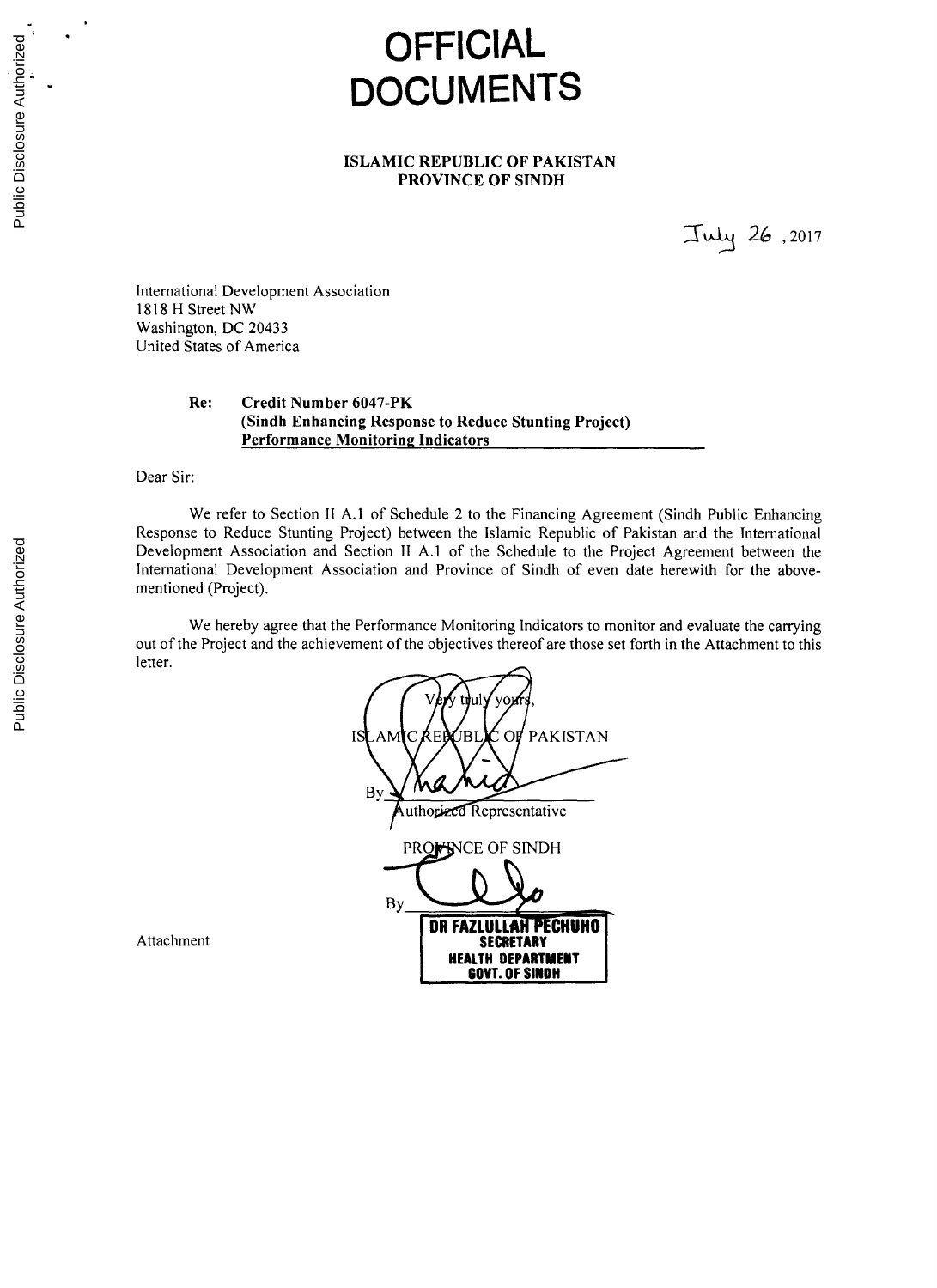# **OFFICIAL DOCUMENTS**

## **ISLAMIC REPUBLIC OF PAKISTAN PROVINCE OF SINDH**

*-T* 2( **,2017**

International Development Association **1818** H Street NW Washington, **DC** 20433 United States of America

# **Re: Credit Number 6047-PK (Sindh Enhancing Response to Reduce Stunting Project) Performance Monitoring Indicators**

Dear Sir:

We refer to Section II **A.1** of Schedule 2 to the Financing Agreement (Sindh Public Enhancing Response to Reduce Stunting Project) between the Islamic Republic of Pakistan and the International Development Association and Section II **A.1** of the Schedule to the Project Agreement between the International Development Association and Province of Sindh of even date herewith for the abovementioned (Project).

We hereby agree that the Performance Monitoring Indicators to monitor and evaluate the carrying out of the Project and the achievement of the objectives thereof are those set forth in the Attachment to this letter.

**V** t **ul yo, ISLAMIC REPUBLIC OF PAKISTAN By** uthorized Representative PRO**WINCE OF SINDH By\_ DR FAZLULLAH PECHUHO**<br>SECRETARY **HEALTH DEPARTMENT GOVT. OF SINDH**

Attachment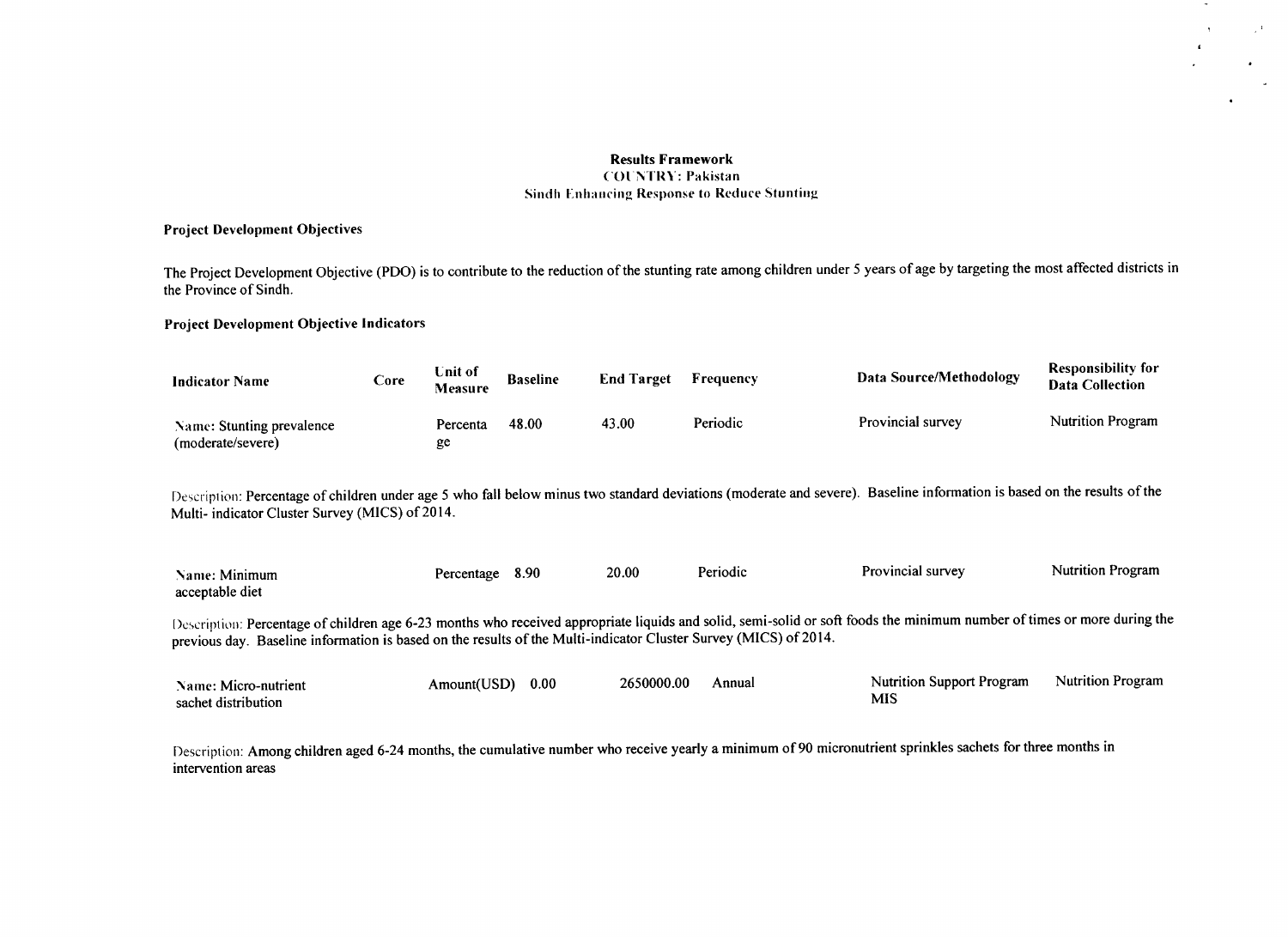# Results Framework

 $\sim$ 

 $\mathbf{r}$ 

 $\mathbb{Z}^{|\mathbf{1}\rangle}$ 

#### COUNTRY: Pakistan **Sindh Enhancing Response to Reduce Stunting**

### Project Development Objectives

The Project Development Objective (PDO) is to contribute to the reduction of the stunting rate among children under **5** years of age **by** targeting the most affected districts in the Province of Sindh.

#### Project Development Objective Indicators

| <b>Indicator Name</b>                          | Core | Unit of<br>Measure | <b>Baseline</b> | <b>End Target</b> | Frequency | Data Source/Methodology | <b>Responsibility for</b><br><b>Data Collection</b> |
|------------------------------------------------|------|--------------------|-----------------|-------------------|-----------|-------------------------|-----------------------------------------------------|
| Name: Stunting prevalence<br>(moderate/severe) |      | Percenta<br>ge     | 48.00           | 43.00             | Periodic  | Provincial survey       | <b>Nutrition Program</b>                            |

Description: Percentage of children under age **5** who fall below minus two standard deviations (moderate and severe). Baseline information is based on the results of the Multi- indicator Cluster Survey **(MICS)** of 2014.

| Name: Minimum   | Percentage | 8.90 | 20.00 | Periodic | Provincial survey | <b>Nutrition Program</b> |
|-----------------|------------|------|-------|----------|-------------------|--------------------------|
| acceptable diet |            |      |       |          |                   |                          |
|                 |            |      |       |          |                   |                          |

Description: Percentage of children age **6-23** months who received appropriate liquids and solid, semi-solid or soft foods the minimum number of times or more during the previous day. Baseline information is based on the results of the Multi-indicator Cluster Survey **(MICS)** of 2014.

| Name: Micro-nutrient | Amount(USD) | 0.00 | 2650000.00 | Annual | <b>Nutrition Support Program</b> | <b>Nutrition Program</b> |
|----------------------|-------------|------|------------|--------|----------------------------------|--------------------------|
| sachet distribution  |             |      |            |        | MIS                              |                          |

Description: Among children aged 6-24 months, the cumulative number who receive yearly a minimum of **90** micronutrient sprinkles sachets for three months in intervention areas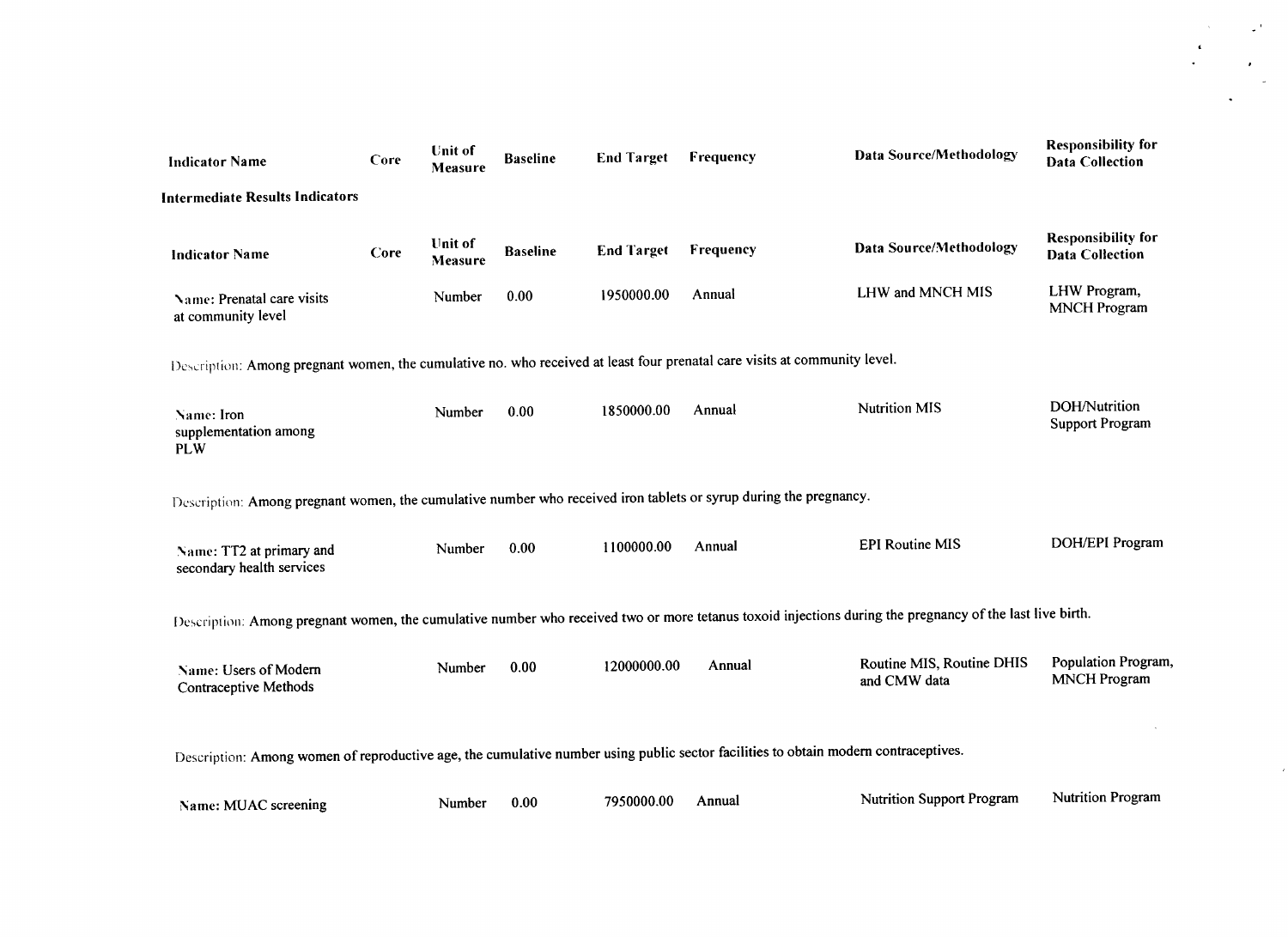| <b>Intermediate Results Indicators</b><br><b>Unit of</b><br><b>Data Source/Methodology</b><br><b>End Target</b><br>Frequency<br><b>Baseline</b><br>Core<br><b>Indicator Name</b><br>Measure<br>LHW and MNCH MIS<br>Annual<br>1950000.00<br>0.00<br>Number<br>Name: Prenatal care visits<br>at community level<br>Description: Among pregnant women, the cumulative no. who received at least four prenatal care visits at community level.<br><b>Nutrition MIS</b><br>1850000.00<br>Annual<br>0.00<br>Number<br>Name: Iron<br>supplementation among<br><b>PLW</b><br>Description: Among pregnant women, the cumulative number who received iron tablets or syrup during the pregnancy.<br><b>EPI Routine MIS</b><br>1100000.00<br>Annual<br>0.00<br>Number<br>Name: TT2 at primary and<br>secondary health services<br>Description: Among pregnant women, the cumulative number who received two or more tetanus toxoid injections during the pregnancy of the last live birth.<br>Routine MIS, Routine DHIS<br>Annual<br>12000000.00<br>0.00<br>Number<br>Name: Users of Modern<br>and CMW data<br>Contraceptive Methods<br>Description: Among women of reproductive age, the cumulative number using public sector facilities to obtain modern contraceptives.<br><b>Nutrition Support Program</b><br>7950000.00<br>Annual | <b>Indicator Name</b> | Core | <b>Unit of</b><br><b>Measure</b> | <b>Baseline</b> | <b>End Target</b> | Frequency | <b>Data Source/Methodology</b> | <b>Responsibility for</b><br><b>Data Collection</b> |
|------------------------------------------------------------------------------------------------------------------------------------------------------------------------------------------------------------------------------------------------------------------------------------------------------------------------------------------------------------------------------------------------------------------------------------------------------------------------------------------------------------------------------------------------------------------------------------------------------------------------------------------------------------------------------------------------------------------------------------------------------------------------------------------------------------------------------------------------------------------------------------------------------------------------------------------------------------------------------------------------------------------------------------------------------------------------------------------------------------------------------------------------------------------------------------------------------------------------------------------------------------------------------------------------------------------------------|-----------------------|------|----------------------------------|-----------------|-------------------|-----------|--------------------------------|-----------------------------------------------------|
|                                                                                                                                                                                                                                                                                                                                                                                                                                                                                                                                                                                                                                                                                                                                                                                                                                                                                                                                                                                                                                                                                                                                                                                                                                                                                                                              |                       |      |                                  |                 |                   |           |                                |                                                     |
|                                                                                                                                                                                                                                                                                                                                                                                                                                                                                                                                                                                                                                                                                                                                                                                                                                                                                                                                                                                                                                                                                                                                                                                                                                                                                                                              |                       |      |                                  |                 |                   |           |                                | <b>Responsibility for</b><br><b>Data Collection</b> |
|                                                                                                                                                                                                                                                                                                                                                                                                                                                                                                                                                                                                                                                                                                                                                                                                                                                                                                                                                                                                                                                                                                                                                                                                                                                                                                                              |                       |      |                                  |                 |                   |           |                                | LHW Program,<br><b>MNCH</b> Program                 |
|                                                                                                                                                                                                                                                                                                                                                                                                                                                                                                                                                                                                                                                                                                                                                                                                                                                                                                                                                                                                                                                                                                                                                                                                                                                                                                                              |                       |      |                                  |                 |                   |           |                                |                                                     |
|                                                                                                                                                                                                                                                                                                                                                                                                                                                                                                                                                                                                                                                                                                                                                                                                                                                                                                                                                                                                                                                                                                                                                                                                                                                                                                                              |                       |      |                                  |                 |                   |           |                                | DOH/Nutrition<br><b>Support Program</b>             |
|                                                                                                                                                                                                                                                                                                                                                                                                                                                                                                                                                                                                                                                                                                                                                                                                                                                                                                                                                                                                                                                                                                                                                                                                                                                                                                                              |                       |      |                                  |                 |                   |           |                                |                                                     |
|                                                                                                                                                                                                                                                                                                                                                                                                                                                                                                                                                                                                                                                                                                                                                                                                                                                                                                                                                                                                                                                                                                                                                                                                                                                                                                                              |                       |      |                                  |                 |                   |           |                                | DOH/EPI Program                                     |
|                                                                                                                                                                                                                                                                                                                                                                                                                                                                                                                                                                                                                                                                                                                                                                                                                                                                                                                                                                                                                                                                                                                                                                                                                                                                                                                              |                       |      |                                  |                 |                   |           |                                |                                                     |
|                                                                                                                                                                                                                                                                                                                                                                                                                                                                                                                                                                                                                                                                                                                                                                                                                                                                                                                                                                                                                                                                                                                                                                                                                                                                                                                              |                       |      |                                  |                 |                   |           |                                | Population Program,<br><b>MNCH</b> Program          |
|                                                                                                                                                                                                                                                                                                                                                                                                                                                                                                                                                                                                                                                                                                                                                                                                                                                                                                                                                                                                                                                                                                                                                                                                                                                                                                                              |                       |      |                                  |                 |                   |           |                                |                                                     |
|                                                                                                                                                                                                                                                                                                                                                                                                                                                                                                                                                                                                                                                                                                                                                                                                                                                                                                                                                                                                                                                                                                                                                                                                                                                                                                                              | Name: MUAC screening  |      | Number                           | 0.00            |                   |           |                                | <b>Nutrition Program</b>                            |

 $\omega^{(1)}$ 

 $\mathcal{A}^{\pm}$  $\mathbb{Z}^2$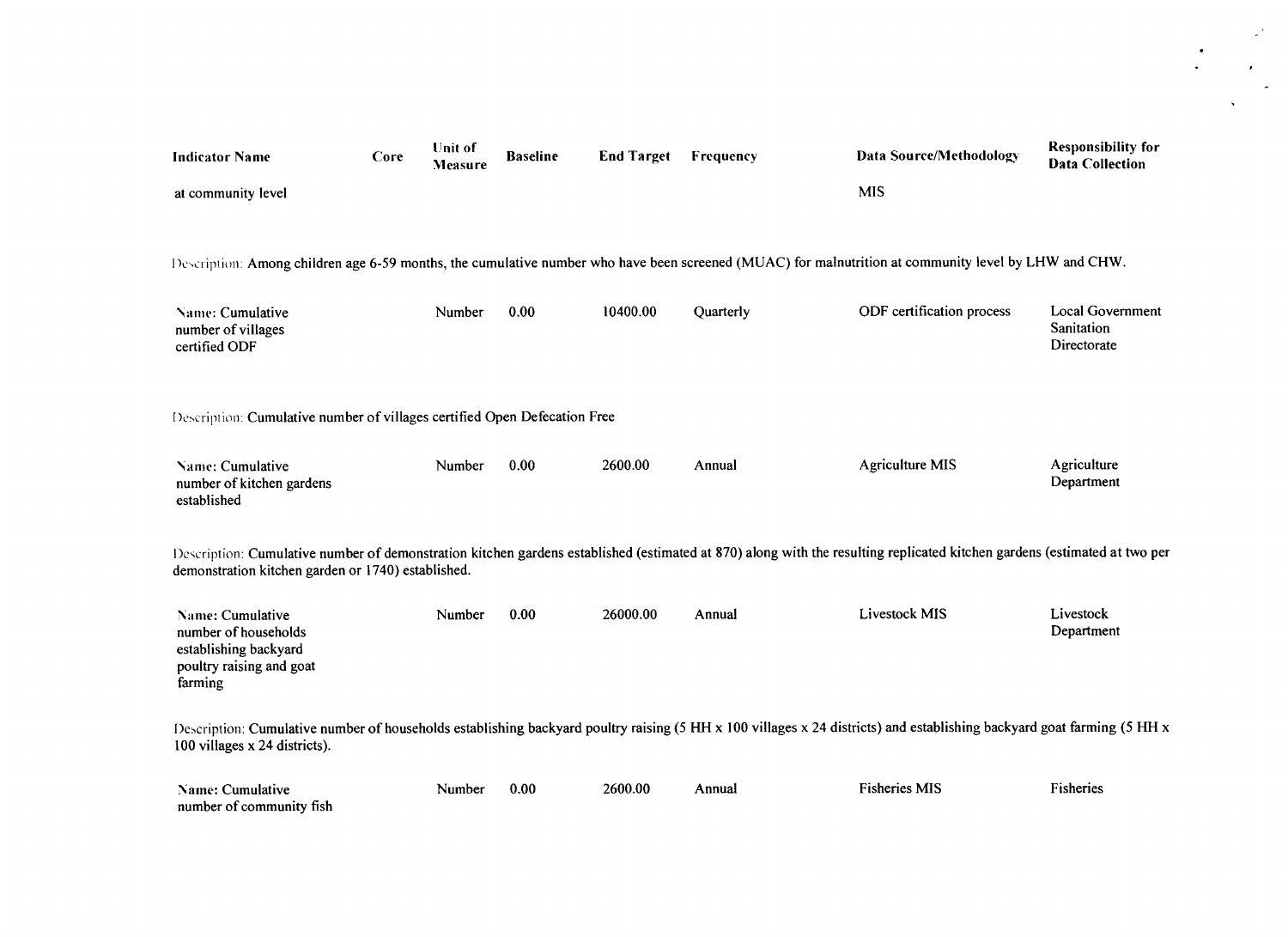| <b>Indicator Name</b>                                                                                                                                | Core                                                                                                                                                                   | Unit of<br>Measure | <b>Baseline</b> | <b>End Target</b> | Frequency | <b>Data Source/Methodology</b>                                                                                                                                           | <b>Responsibility for</b><br><b>Data Collection</b>  |  |  |  |  |
|------------------------------------------------------------------------------------------------------------------------------------------------------|------------------------------------------------------------------------------------------------------------------------------------------------------------------------|--------------------|-----------------|-------------------|-----------|--------------------------------------------------------------------------------------------------------------------------------------------------------------------------|------------------------------------------------------|--|--|--|--|
| at community level                                                                                                                                   |                                                                                                                                                                        |                    |                 |                   |           | <b>MIS</b>                                                                                                                                                               |                                                      |  |  |  |  |
| Description: Among children age 6-59 months, the cumulative number who have been screened (MUAC) for malnutrition at community level by LHW and CHW. |                                                                                                                                                                        |                    |                 |                   |           |                                                                                                                                                                          |                                                      |  |  |  |  |
| Name: Cumulative<br>number of villages<br>certified ODF                                                                                              |                                                                                                                                                                        | Number             | 0.00            | 10400.00          | Quarterly | ODF certification process                                                                                                                                                | <b>Local Government</b><br>Sanitation<br>Directorate |  |  |  |  |
| Description: Cumulative number of villages certified Open Defecation Free                                                                            |                                                                                                                                                                        |                    |                 |                   |           |                                                                                                                                                                          |                                                      |  |  |  |  |
| Name: Cumulative<br>number of kitchen gardens<br>established                                                                                         |                                                                                                                                                                        | Number             | 0.00            | 2600.00           | Annual    | <b>Agriculture MIS</b>                                                                                                                                                   | Agriculture<br>Department                            |  |  |  |  |
| demonstration kitchen garden or 1740) established.                                                                                                   |                                                                                                                                                                        |                    |                 |                   |           | Description: Cumulative number of demonstration kitchen gardens established (estimated at 870) along with the resulting replicated kitchen gardens (estimated at two per |                                                      |  |  |  |  |
| Name: Cumulative<br>number of households<br>establishing backyard<br>poultry raising and goat<br>farming                                             |                                                                                                                                                                        | Number             | 0.00            | 26000.00          | Annual    | <b>Livestock MIS</b>                                                                                                                                                     | Livestock<br>Department                              |  |  |  |  |
| 100 villages x 24 districts).                                                                                                                        | Description: Cumulative number of households establishing backyard poultry raising (5 HH x 100 villages x 24 districts) and establishing backyard goat farming (5 HH x |                    |                 |                   |           |                                                                                                                                                                          |                                                      |  |  |  |  |
| Name: Cumulative<br>number of community fish                                                                                                         |                                                                                                                                                                        | Number             | 0.00            | 2600.00           | Annual    | <b>Fisheries MIS</b>                                                                                                                                                     | Fisheries                                            |  |  |  |  |

 $\omega^{-1}$ 

 $\frac{1}{2} \sum_{i=1}^{n} \frac{1}{2} \left( \frac{1}{2} \sum_{i=1}^{n} \frac{1}{2} \right) \left( \frac{1}{2} \sum_{i=1}^{n} \frac{1}{2} \right)$ 

 $\mathbf{v}$ 

 $\bullet$  .

 $\sim$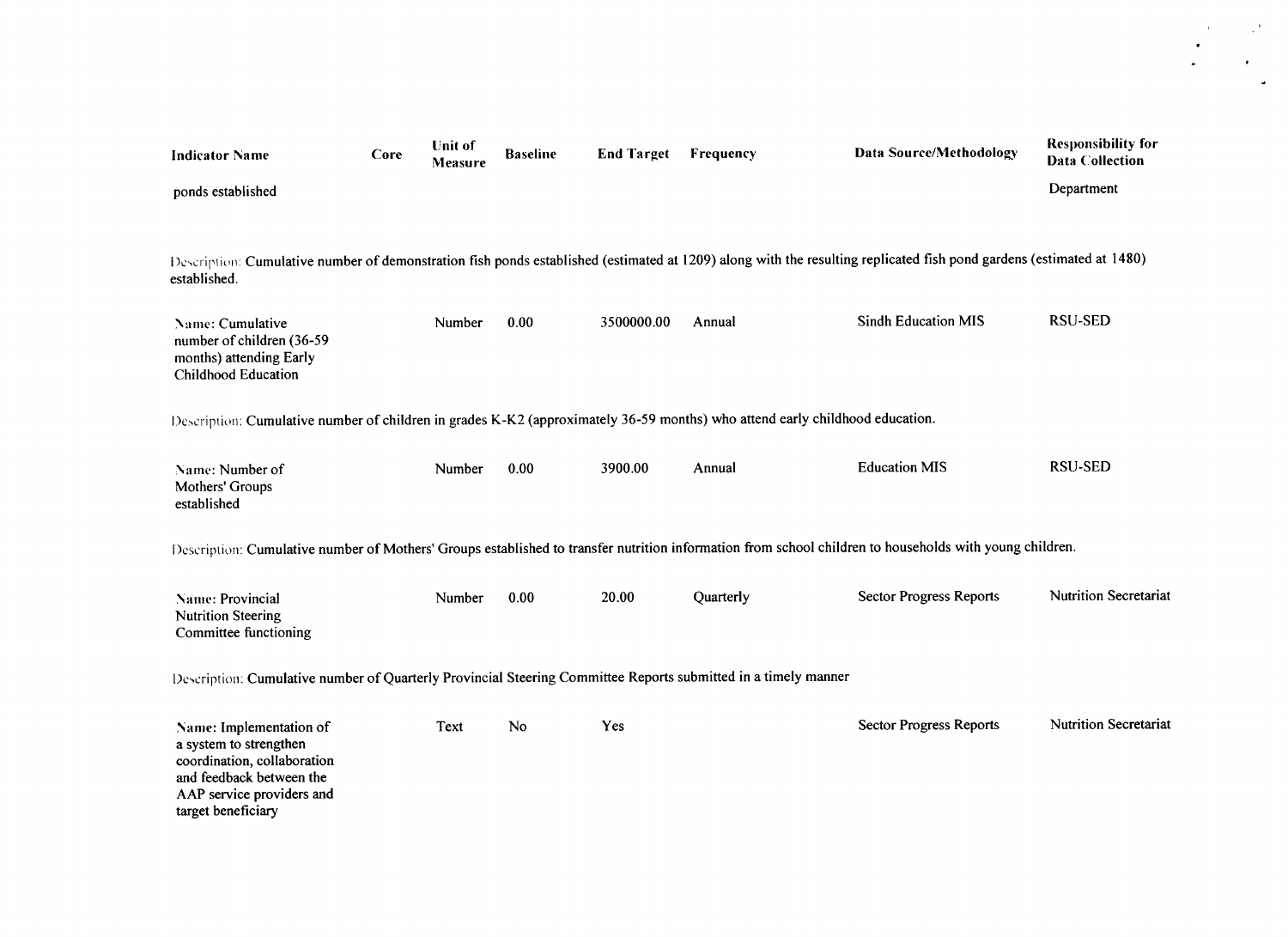| <b>Indicator Name</b>                                                                                                                                                                | Core | <b>Unit of</b><br>Measure | <b>Baseline</b> | <b>End Target</b> | Frequency | <b>Data Source/Methodology</b> | <b>Responsibility for</b><br><b>Data Collection</b> |  |  |  |
|--------------------------------------------------------------------------------------------------------------------------------------------------------------------------------------|------|---------------------------|-----------------|-------------------|-----------|--------------------------------|-----------------------------------------------------|--|--|--|
| ponds established                                                                                                                                                                    |      |                           |                 |                   |           |                                | Department                                          |  |  |  |
|                                                                                                                                                                                      |      |                           |                 |                   |           |                                |                                                     |  |  |  |
| Description: Cumulative number of demonstration fish ponds established (estimated at 1209) along with the resulting replicated fish pond gardens (estimated at 1480)<br>established. |      |                           |                 |                   |           |                                |                                                     |  |  |  |
| Name: Cumulative<br>number of children (36-59<br>months) attending Early<br><b>Childhood Education</b>                                                                               |      | Number                    | 0.00            | 3500000.00        | Annual    | <b>Sindh Education MIS</b>     | <b>RSU-SED</b>                                      |  |  |  |
| Description: Cumulative number of children in grades K-K2 (approximately 36-59 months) who attend early childhood education.                                                         |      |                           |                 |                   |           |                                |                                                     |  |  |  |
| Name: Number of<br>Mothers' Groups<br>established                                                                                                                                    |      | Number                    | 0.00            | 3900.00           | Annual    | <b>Education MIS</b>           | <b>RSU-SED</b>                                      |  |  |  |
| Description: Cumulative number of Mothers' Groups established to transfer nutrition information from school children to households with young children.                              |      |                           |                 |                   |           |                                |                                                     |  |  |  |
| Name: Provincial<br><b>Nutrition Steering</b><br>Committee functioning                                                                                                               |      | Number                    | 0.00            | 20.00             | Quarterly | <b>Sector Progress Reports</b> | <b>Nutrition Secretariat</b>                        |  |  |  |
| Description: Cumulative number of Quarterly Provincial Steering Committee Reports submitted in a timely manner                                                                       |      |                           |                 |                   |           |                                |                                                     |  |  |  |
| Name: Implementation of<br>a system to strengthen<br>coordination, collaboration<br>and feedback between the<br>AAP service providers and<br>target beneficiary                      |      | Text                      | No              | Yes               |           | <b>Sector Progress Reports</b> | <b>Nutrition Secretariat</b>                        |  |  |  |

 $\mathbb{R}^{\mathcal{A}_1}$ 

 $\mathcal{A}^{\mathrm{c}}$  and  $\sim$ 

 $\bullet$  .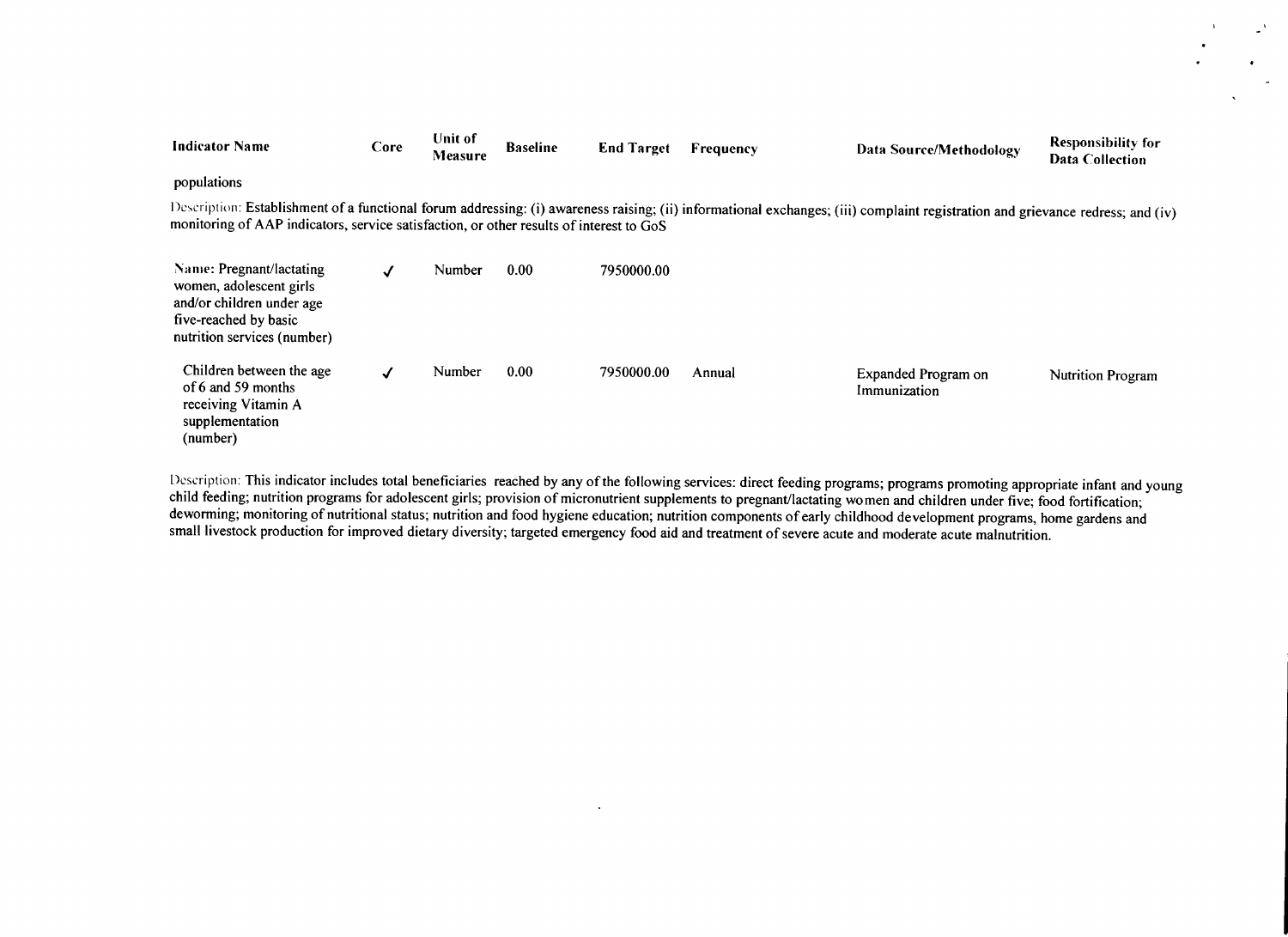| <b>Indicator Name</b>                                                                                                                    | Core | <b>Unit of</b><br>Measure | <b>Baseline</b> | <b>End Target</b> | Frequency | Data Source/Methodology                                                                                                                                                        | <b>Responsibility for</b><br><b>Data Collection</b> |
|------------------------------------------------------------------------------------------------------------------------------------------|------|---------------------------|-----------------|-------------------|-----------|--------------------------------------------------------------------------------------------------------------------------------------------------------------------------------|-----------------------------------------------------|
| populations                                                                                                                              |      |                           |                 |                   |           |                                                                                                                                                                                |                                                     |
| monitoring of AAP indicators, service satisfaction, or other results of interest to GoS                                                  |      |                           |                 |                   |           | Description: Establishment of a functional forum addressing: (i) awareness raising; (ii) informational exchanges; (iii) complaint registration and grievance redress; and (iv) |                                                     |
| Name: Pregnant/lactating<br>women, adolescent girls<br>and/or children under age<br>five-reached by basic<br>nutrition services (number) | √    | Number                    | 0.00            | 7950000.00        |           |                                                                                                                                                                                |                                                     |
| Children between the age<br>of 6 and 59 months<br>receiving Vitamin A<br>supplementation<br>(number)                                     | ✓    | Number                    | 0.00            | 7950000.00        | Annual    | Expanded Program on<br>Immunization                                                                                                                                            | <b>Nutrition Program</b>                            |

Description: This indicator includes total beneficiaries reached by any of the following services: direct feeding programs; programs promoting appropriate infant and young child feeding; nutrition programs for adolescent g

 $\sim$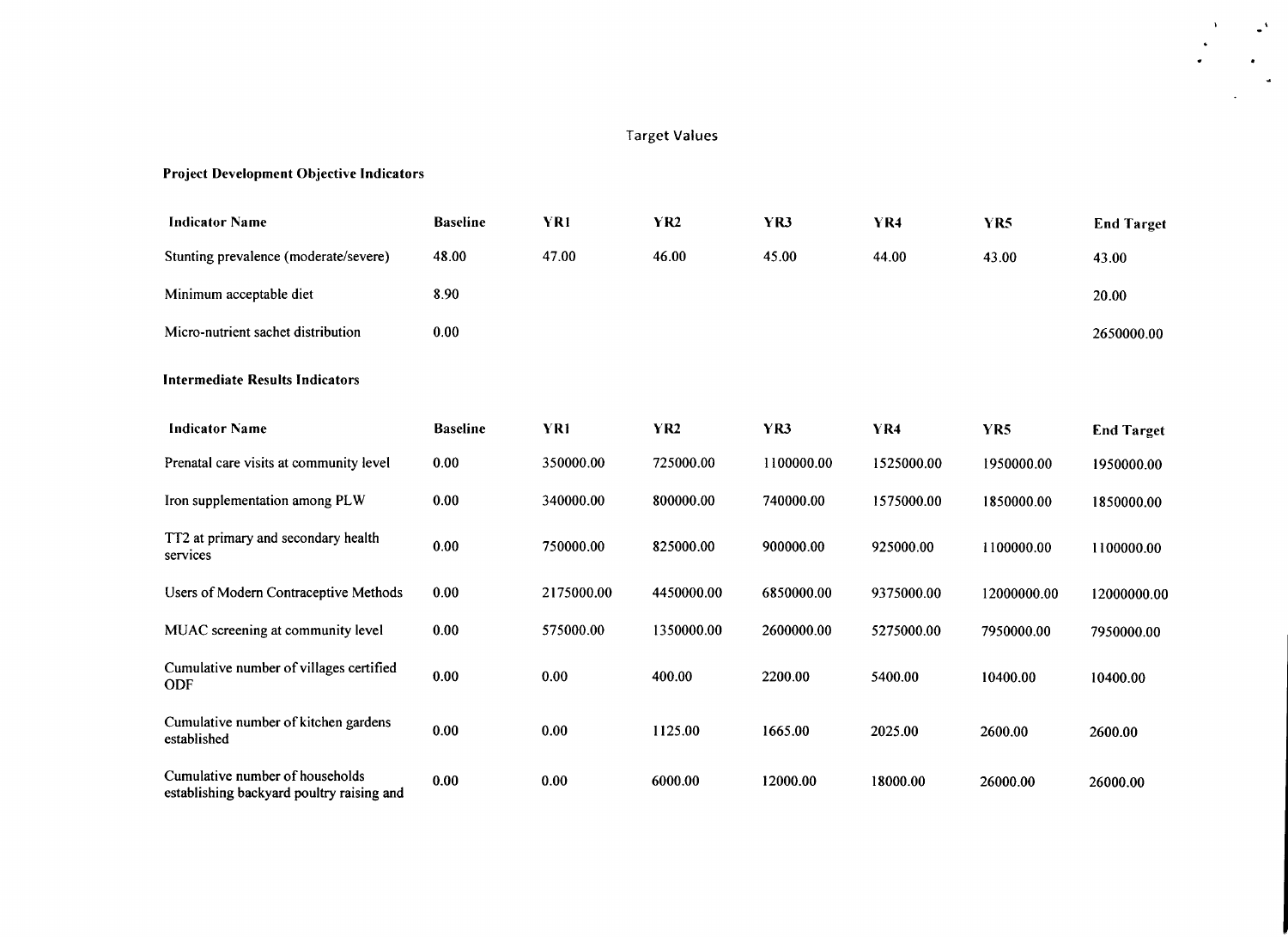# Target Values

 $\mathbb{R}^4$ 

 $\Delta$ 

 $\overline{a}$ 

# Project Development Objective Indicators

| <b>Indicator Name</b>                                                        | <b>Baseline</b> | YR1        | <b>YR2</b>      | YR3        | YR4        | YR5         | <b>End Target</b> |
|------------------------------------------------------------------------------|-----------------|------------|-----------------|------------|------------|-------------|-------------------|
| Stunting prevalence (moderate/severe)                                        | 48.00           | 47.00      | 46.00           | 45.00      | 44.00      | 43.00       | 43.00             |
| Minimum acceptable diet                                                      | 8.90            |            |                 |            |            |             | 20.00             |
| Micro-nutrient sachet distribution                                           | 0.00            |            |                 |            |            |             | 2650000.00        |
| <b>Intermediate Results Indicators</b>                                       |                 |            |                 |            |            |             |                   |
| <b>Indicator Name</b>                                                        | <b>Baseline</b> | YR1        | YR <sub>2</sub> | YR3        | <b>YR4</b> | YR5         | <b>End Target</b> |
| Prenatal care visits at community level                                      | 0.00            | 350000.00  | 725000.00       | 1100000.00 | 1525000.00 | 1950000.00  | 1950000.00        |
| Iron supplementation among PLW                                               | 0.00            | 340000.00  | 800000.00       | 740000.00  | 1575000.00 | 1850000.00  | 1850000.00        |
| TT2 at primary and secondary health<br>services                              | 0.00            | 750000.00  | 825000.00       | 900000.00  | 925000.00  | 1100000.00  | 1100000.00        |
| Users of Modern Contraceptive Methods                                        | 0.00            | 2175000.00 | 4450000.00      | 6850000.00 | 9375000.00 | 12000000.00 | 12000000.00       |
| MUAC screening at community level                                            | 0.00            | 575000.00  | 1350000.00      | 2600000.00 | 5275000.00 | 7950000.00  | 7950000.00        |
| Cumulative number of villages certified<br>ODF                               | 0.00            | 0.00       | 400.00          | 2200.00    | 5400.00    | 10400.00    | 10400.00          |
| Cumulative number of kitchen gardens<br>established                          | 0.00            | 0.00       | 1125.00         | 1665.00    | 2025.00    | 2600.00     | 2600.00           |
| Cumulative number of households<br>establishing backyard poultry raising and | 0.00            | 0.00       | 6000.00         | 12000.00   | 18000.00   | 26000.00    | 26000.00          |